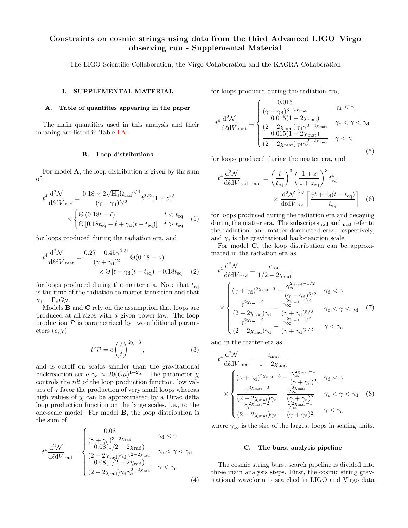# Constraints on cosmic strings using data from the third Advanced LIGO–Virgo observing run - Supplemental Material

The LIGO Scientific Collaboration, the Virgo Collaboration and the KAGRA Collaboration

## I. SUPPLEMENTAL MATERIAL

#### <span id="page-0-0"></span>A. Table of quantities appearing in the paper

The main quantities used in this analysis and their meaning are listed in Table [I A.](#page-0-0)

#### B. Loop distributions

For model A, the loop distribution is given by the sum of

$$
t^{4} \frac{d^{2} \mathcal{N}}{d\ell dV}_{\text{rad}} = \frac{0.18 \times 2 \sqrt{H_{0}} \Omega_{\text{rad}}^{3/4}}{(\gamma + \gamma_{\text{d}})^{5/2}} t^{3/2} (1 + z)^{3}
$$

$$
\times \begin{cases} \Theta\left(0.18t - \ell\right) & t < t_{\text{eq}}\\ \Theta\left[0.18t_{\text{eq}} - \ell + \gamma_{\text{d}}(t - t_{\text{eq}})\right] & t > t_{\text{eq}} \end{cases} \tag{1}
$$

for loops produced during the radiation era, and

$$
t^{4} \frac{d^{2} \mathcal{N}}{d\ell dV_{\text{mat}}} = \frac{0.27 - 0.45 \gamma^{0.31}}{(\gamma + \gamma_{\text{d}})^{2}} \Theta(0.18 - \gamma)
$$
  
 
$$
\times \Theta \left[ \ell + \gamma_{\text{d}}(t - t_{\text{eq}}) - 0.18t_{\text{eq}} \right] (2)
$$

for loops produced during the matter era. Note that  $t_{eq}$ is the time of the radiation to matter transition and that  $\gamma_d = \Gamma_d G \mu$ .

Models B and C rely on the assumption that loops are produced at all sizes with a given power-law. The loop production  $P$  is parametrized by two additional parameters  $(c, \chi)$ 

$$
t^5 \mathcal{P} = c \left(\frac{\ell}{t}\right)^{2\chi - 3},\tag{3}
$$

and is cutoff on scales smaller than the gravitational backreaction scale  $\gamma_c \approx 20(G\mu)^{1+2\chi}$ . The parameter  $\chi$ controls the tilt of the loop production function, low values of  $\chi$  favor the production of very small loops whereas high values of  $\chi$  can be approximated by a Dirac delta loop production function on the large scales, i.e., to the one-scale model. For model B, the loop distribution is the sum of

$$
t^{4} \frac{d^{2} \mathcal{N}}{d\ell dV}_{\text{rad}} = \begin{cases} \frac{0.08}{(\gamma + \gamma_{\text{d}})^{3-2\chi_{\text{rad}}}} & \gamma_{\text{d}} < \gamma\\ \frac{0.08(1/2 - 2\chi_{\text{rad}})}{(2 - 2\chi_{\text{rad}})\gamma_{\text{d}}\gamma^{2-2\chi_{\text{rad}}}} & \gamma_{\text{c}} < \gamma < \gamma_{\text{d}}\\ \frac{0.08(1/2 - 2\chi_{\text{rad}})}{(2 - 2\chi_{\text{rad}})\gamma_{\text{d}}\gamma_{\text{c}}^{2-2\chi_{\text{rad}}}} & \gamma < \gamma_{\text{c}} \end{cases}
$$
(4)

for loops produced during the radiation era,

0.015

$$
t^{4} \frac{d^{2} \mathcal{N}}{d\ell dV}_{\text{mat}} = \begin{cases} \frac{0.015}{(\gamma + \gamma_{\text{d}})^{3-2\chi_{\text{mat}}}} & \gamma_{\text{d}} < \gamma\\ \frac{0.015(1 - 2\chi_{\text{mat}})}{(2 - 2\chi_{\text{mat}})\gamma_{\text{d}}\gamma^{2-2\chi_{\text{mat}}}} & \gamma_{\text{c}} < \gamma < \gamma_{\text{d}}\\ \frac{0.015(1 - 2\chi_{\text{mat}})}{(2 - 2\chi_{\text{mat}})\gamma_{\text{d}}\gamma_{\text{c}}^{2-2\chi_{\text{mat}}}} & \gamma < \gamma_{\text{c}} \end{cases}
$$
(5)

for loops produced during the matter era, and

$$
t^4 \frac{\mathrm{d}^2 \mathcal{N}}{\mathrm{d} \ell \mathrm{d} V_{\text{rad-mat}}} = \left(\frac{t}{t_{\text{eq}}}\right)^3 \left(\frac{1+z}{1+z_{\text{eq}}}\right)^3 t_{\text{eq}}^4
$$

$$
\times \frac{\mathrm{d}^2 \mathcal{N}}{\mathrm{d} \ell \mathrm{d} V_{\text{rad}}} \left[\frac{\gamma t + \gamma_{\text{d}}(t - t_{\text{eq}})}{t_{\text{eq}}}\right] \tag{6}
$$

for loops produced during the radiation era and decaying during the matter era. The subscripts rad and mat refer to the radiation- and matter-dominated eras, respectively, and  $\gamma_c$  is the gravitational back-reaction scale.

For model C, the loop distribution can be approximated in the radiation era as

$$
t^{4} \frac{d^{2} \mathcal{N}}{d\ell dV}_{rad} = \frac{c_{rad}}{1/2 - 2\chi_{rad}}
$$
  

$$
\times \begin{cases} (\gamma + \gamma_{d})^{2\chi_{rad} - 3} - \frac{\gamma_{\infty}^{2\chi_{rad} - 1/2}}{(\gamma + \gamma_{d})^{5/2}} & \gamma_{d} < \gamma \\ \frac{\gamma^{2\chi_{rad} - 2}}{(2 - 2\chi_{rad})\gamma_{d}} - \frac{\gamma_{\infty}^{2\chi_{rad} - 1/2}}{(\gamma + \gamma_{d})^{5/2}} & \gamma_{c} < \gamma < \gamma_{d} \\ \frac{\gamma_{c}^{2\chi_{rad} - 2}}{(2 - 2\chi_{rad})\gamma_{d}} - \frac{\gamma_{\infty}^{2\chi_{rad} - 1/2}}{(\gamma + \gamma_{d})^{5/2}} & \gamma < \gamma_{c} \end{cases}
$$
(7)

and in the matter era as

$$
t^{4} \frac{d^{2} \mathcal{N}}{d\ell dV_{\text{mat}}} = \frac{c_{\text{mat}}}{1 - 2\chi_{\text{mat}}}
$$
  
\$\times \begin{cases} (\gamma + \gamma\_{\text{d}})^{2\chi\_{\text{mat}} - 3} - \frac{\gamma\_{\infty}^{2\chi\_{\text{mat}} - 1}}{(\gamma + \gamma\_{\text{d}})^{2}} & \gamma\_{\text{d}} < \gamma \\ \frac{\gamma^{2\chi\_{\text{mat}} - 2}}{(2 - 2\chi\_{\text{mat}})\gamma\_{\text{d}}} - \frac{\gamma\_{\infty}^{2\chi\_{\text{mat}} - 1}}{(\gamma + \gamma\_{\text{d}})^{2}} & \gamma\_{\text{c}} < \gamma < \gamma\_{\text{d}} \end{cases}\$ (8)  
\$\frac{\gamma\_{\text{c}}^{2\chi\_{\text{mat}} - 2}}{(\gamma\_{\text{c}}^{2\chi\_{\text{mat}} - 2})\gamma\_{\text{d}}} - \frac{\gamma\_{\infty}^{2\chi\_{\text{mat}} - 1}}{(\gamma + \gamma\_{\text{d}})^{2}} & \gamma < \gamma\_{\text{c}}\$ \end{cases}\$ (8)

where  $\gamma_{\infty}$  is the size of the largest loops in scaling units.

## C. The burst analysis pipeline

The cosmic string burst search pipeline is divided into three main analysis steps. First, the cosmic string gravitational waveform is searched in LIGO and Virgo data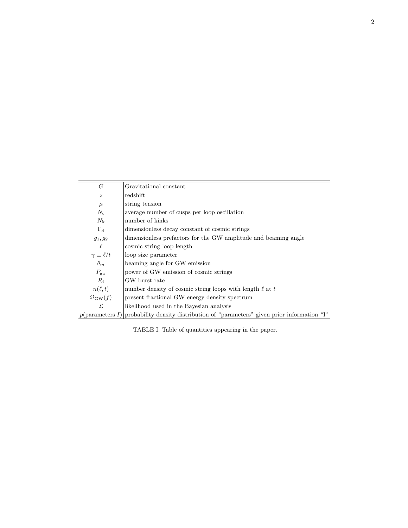| G                      | Gravitational constant                                                                                |
|------------------------|-------------------------------------------------------------------------------------------------------|
| $\boldsymbol{z}$       | redshift                                                                                              |
| $\mu$                  | string tension                                                                                        |
| $N_{\rm c}$            | average number of cusps per loop oscillation                                                          |
| $N_{\rm k}$            | number of kinks                                                                                       |
| $\Gamma_d$             | dimensionless decay constant of cosmic strings                                                        |
| $g_1, g_2$             | dimensionless prefactors for the GW amplitude and beaming angle                                       |
| ł.                     | cosmic string loop length                                                                             |
| $\gamma \equiv \ell/t$ | loop size parameter                                                                                   |
| $\theta_m$             | beaming angle for GW emission                                                                         |
| $P_{\rm gw}$           | power of GW emission of cosmic strings                                                                |
| $R_i$                  | GW burst rate                                                                                         |
| $n(\ell,t)$            | number density of cosmic string loops with length $\ell$ at t                                         |
| $\Omega_{\rm GW}(f)$   | present fractional GW energy density spectrum                                                         |
| $\mathcal{L}$          | likelihood used in the Bayesian analysis                                                              |
|                        | $p(\text{parameters} I)$ probability density distribution of "parameters" given prior information "I" |

TABLE I. Table of quantities appearing in the paper.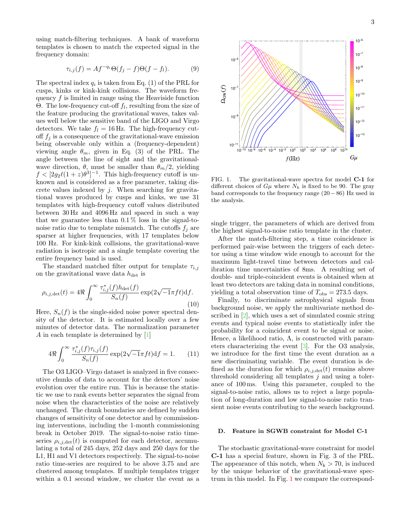using match-filtering techniques. A bank of waveform templates is chosen to match the expected signal in the frequency domain:

$$
\tau_{i,j}(f) = Af^{-q_i} \Theta(f_j - f) \Theta(f - f_l). \tag{9}
$$

The spectral index  $q_i$  is taken from Eq. (1) of the PRL for cusps, kinks or kink-kink collisions. The waveform frequency  $f$  is limited in range using the Heaviside function Θ. The low-frequency cut-off  $f_l$ , resulting from the size of the feature producing the gravitational waves, takes values well below the sensitive band of the LIGO and Virgo detectors. We take  $f_l = 16$  Hz. The high-frequency cutoff  $f_i$  is a consequence of the gravitational-wave emission being observable only within a (frequency-dependent) viewing angle  $\theta_m$ , given in Eq. (3) of the PRL. The angle between the line of sight and the gravitationalwave direction,  $\theta$ , must be smaller than  $\theta_m/2$ , yielding  $f < [2g_2\ell(1+z)\theta^3]^{-1}$ . This high-frequency cutoff is unknown and is considered as a free parameter, taking discrete values indexed by  $j$ . When searching for gravitational waves produced by cusps and kinks, we use 31 templates with high-frequency cutoff values distributed between 30 Hz and 4096 Hz and spaced in such a way that we guarantee less than  $0.1\%$  loss in the signal-tonoise ratio due to template mismatch. The cutoffs  $f_i$  are sparser at higher frequencies, with 17 templates below 100 Hz. For kink-kink collisions, the gravitational-wave radiation is isotropic and a single template covering the entire frequency band is used.

The standard matched filter output for template  $\tau_{i,j}$ on the gravitational wave data  $h_{\text{det}}$  is

$$
\rho_{i,j,\det}(t) = 4\Re \int_0^\infty \frac{\tau_{i,j}^*(f)h_{\det}(f)}{S_n(f)} \exp(2\sqrt{-1}\pi ft) \mathrm{d}f. \tag{10}
$$

Here,  $S_n(f)$  is the single-sided noise power spectral density of the detector. It is estimated locally over a few minutes of detector data. The normalization parameter A in each template is determined by [\[1\]](#page-3-0)

$$
4\Re \int_0^\infty \frac{\tau_{i,j}^*(f)\tau_{i,j}(f)}{S_n(f)} \exp(2\sqrt{-1}\pi ft) \mathrm{d}f = 1. \tag{11}
$$

The O3 LIGO–Virgo dataset is analyzed in five consecutive chunks of data to account for the detectors' noise evolution over the entire run. This is because the statistic we use to rank events better separates the signal from noise when the characteristics of the noise are relatively unchanged. The chunk boundaries are defined by sudden changes of sensitivity of one detector and by commissioning interventions, including the 1-month commissioning break in October 2019. The signal-to-noise ratio timeseries  $\rho_{i,j,\text{det}}(t)$  is computed for each detector, accumulating a total of 245 days, 252 days and 250 days for the L1, H1 and V1 detectors respectively. The signal-to-noise ratio time-series are required to be above 3.75 and are clustered among templates. If multiple templates trigger within a 0.1 second window, we cluster the event as a



<span id="page-2-0"></span>FIG. 1. The gravitational-wave spectra for model C-1 for different choices of  $G\mu$  where  $N_k$  is fixed to be 90. The gray band corresponds to the frequency range (20−86) Hz used in the analysis.

single trigger, the parameters of which are derived from the highest signal-to-noise ratio template in the cluster.

After the match-filtering step, a time coincidence is performed pair-wise between the triggers of each detector using a time window wide enough to account for the maximum light-travel time between detectors and calibration time uncertainties of 8ms. A resulting set of double- and triple-coincident events is obtained when at least two detectors are taking data in nominal conditions, yielding a total observation time of  $T_{\text{obs}} = 273.5$  days.

Finally, to discriminate astrophysical signals from background noise, we apply the multivariate method described in [\[2\]](#page-3-1), which uses a set of simulated cosmic string events and typical noise events to statistically infer the probability for a coincident event to be signal or noise. Hence, a likelihood ratio,  $\Lambda$ , is constructed with parameters characterizing the event [\[3\]](#page-3-2). For the O3 analysis, we introduce for the first time the event duration as a new discriminating variable. The event duration is defined as the duration for which  $\rho_{i,j,\text{det}}(t)$  remains above threshold considering all templates  $j$  and using a tolerance of 100 ms. Using this parameter, coupled to the signal-to-noise ratio, allows us to reject a large population of long-duration and low signal-to-noise ratio transient noise events contributing to the search background.

## D. Feature in SGWB constraint for Model C-1

The stochastic gravitational-wave constraint for model C-1 has a special feature, shown in Fig. 3 of the PRL. The appearance of this notch, when  $N_k > 70$ , is induced by the unique behavior of the gravitational-wave spectrum in this model. In Fig. [1](#page-2-0) we compare the correspond